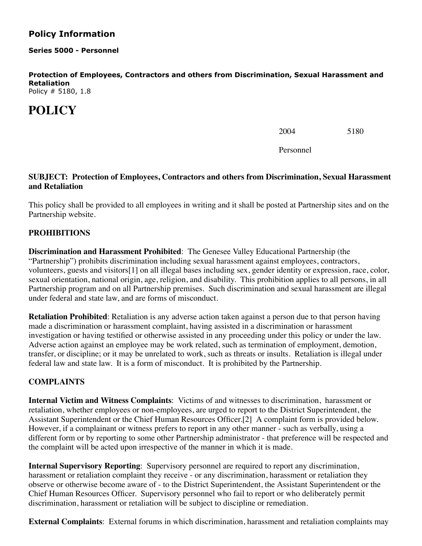## **Policy Information**

**Series 5000 - Personnel**

**Protection of Employees, Contractors and others from Discrimination, Sexual Harassment and Retaliation**

Policy # 5180, 1.8

# **POLICY**

2004 5180

Personnel

#### **SUBJECT: Protection of Employees, Contractors and others from Discrimination, Sexual Harassment and Retaliation**

This policy shall be provided to all employees in writing and it shall be posted at Partnership sites and on the Partnership website.

### **PROHIBITIONS**

**Discrimination and Harassment Prohibited**: The Genesee Valley Educational Partnership (the "Partnership") prohibits discrimination including sexual harassment against employees, contractors, volunteers, guests and visitors[1] on all illegal bases including sex, gender identity or expression, race, color, sexual orientation, national origin, age, religion, and disability. This prohibition applies to all persons, in all Partnership program and on all Partnership premises. Such discrimination and sexual harassment are illegal under federal and state law, and are forms of misconduct.

**Retaliation Prohibited**: Retaliation is any adverse action taken against a person due to that person having made a discrimination or harassment complaint, having assisted in a discrimination or harassment investigation or having testified or otherwise assisted in any proceeding under this policy or under the law. Adverse action against an employee may be work related, such as termination of employment, demotion, transfer, or discipline; or it may be unrelated to work, such as threats or insults. Retaliation is illegal under federal law and state law. It is a form of misconduct. It is prohibited by the Partnership.

#### **COMPLAINTS**

**Internal Victim and Witness Complaints**: Victims of and witnesses to discrimination, harassment or retaliation, whether employees or non-employees, are urged to report to the District Superintendent, the Assistant Superintendent or the Chief Human Resources Officer.[2] A complaint form is provided below. However, if a complainant or witness prefers to report in any other manner - such as verbally, using a different form or by reporting to some other Partnership administrator - that preference will be respected and the complaint will be acted upon irrespective of the manner in which it is made.

**Internal Supervisory Reporting**: Supervisory personnel are required to report any discrimination, harassment or retaliation complaint they receive - or any discrimination, harassment or retaliation they observe or otherwise become aware of - to the District Superintendent, the Assistant Superintendent or the Chief Human Resources Officer. Supervisory personnel who fail to report or who deliberately permit discrimination, harassment or retaliation will be subject to discipline or remediation.

**External Complaints**: External forums in which discrimination, harassment and retaliation complaints may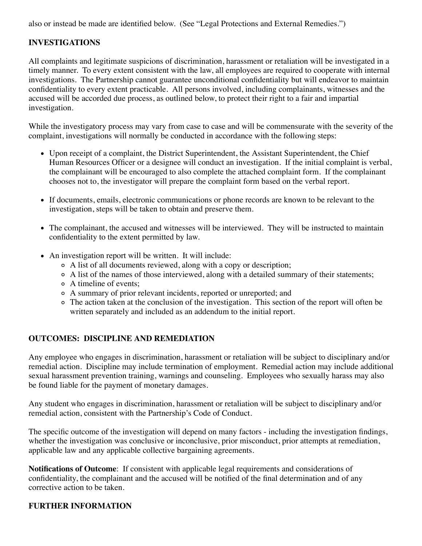also or instead be made are identified below. (See "Legal Protections and External Remedies.")

## **INVESTIGATIONS**

All complaints and legitimate suspicions of discrimination, harassment or retaliation will be investigated in a timely manner. To every extent consistent with the law, all employees are required to cooperate with internal investigations. The Partnership cannot guarantee unconditional confidentiality but will endeavor to maintain confidentiality to every extent practicable. All persons involved, including complainants, witnesses and the accused will be accorded due process, as outlined below, to protect their right to a fair and impartial investigation.

While the investigatory process may vary from case to case and will be commensurate with the severity of the complaint, investigations will normally be conducted in accordance with the following steps:

- Upon receipt of a complaint, the District Superintendent, the Assistant Superintendent, the Chief Human Resources Officer or a designee will conduct an investigation. If the initial complaint is verbal, the complainant will be encouraged to also complete the attached complaint form. If the complainant chooses not to, the investigator will prepare the complaint form based on the verbal report.
- If documents, emails, electronic communications or phone records are known to be relevant to the investigation, steps will be taken to obtain and preserve them.
- The complainant, the accused and witnesses will be interviewed. They will be instructed to maintain confidentiality to the extent permitted by law.
- An investigation report will be written. It will include:
	- A list of all documents reviewed, along with a copy or description;
	- A list of the names of those interviewed, along with a detailed summary of their statements;
	- A timeline of events;
	- A summary of prior relevant incidents, reported or unreported; and
	- The action taken at the conclusion of the investigation. This section of the report will often be written separately and included as an addendum to the initial report.

#### **OUTCOMES: DISCIPLINE AND REMEDIATION**

Any employee who engages in discrimination, harassment or retaliation will be subject to disciplinary and/or remedial action. Discipline may include termination of employment. Remedial action may include additional sexual harassment prevention training, warnings and counseling. Employees who sexually harass may also be found liable for the payment of monetary damages.

Any student who engages in discrimination, harassment or retaliation will be subject to disciplinary and/or remedial action, consistent with the Partnership's Code of Conduct.

The specific outcome of the investigation will depend on many factors - including the investigation findings, whether the investigation was conclusive or inconclusive, prior misconduct, prior attempts at remediation, applicable law and any applicable collective bargaining agreements.

**Notifications of Outcome**: If consistent with applicable legal requirements and considerations of confidentiality, the complainant and the accused will be notified of the final determination and of any corrective action to be taken.

## **FURTHER INFORMATION**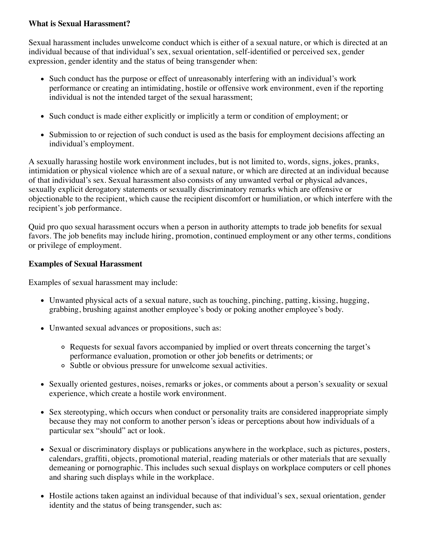#### **What is Sexual Harassment?**

Sexual harassment includes unwelcome conduct which is either of a sexual nature, or which is directed at an individual because of that individual's sex, sexual orientation, self-identified or perceived sex, gender expression, gender identity and the status of being transgender when:

- Such conduct has the purpose or effect of unreasonably interfering with an individual's work performance or creating an intimidating, hostile or offensive work environment, even if the reporting individual is not the intended target of the sexual harassment;
- Such conduct is made either explicitly or implicitly a term or condition of employment; or
- Submission to or rejection of such conduct is used as the basis for employment decisions affecting an individual's employment.

A sexually harassing hostile work environment includes, but is not limited to, words, signs, jokes, pranks, intimidation or physical violence which are of a sexual nature, or which are directed at an individual because of that individual's sex. Sexual harassment also consists of any unwanted verbal or physical advances, sexually explicit derogatory statements or sexually discriminatory remarks which are offensive or objectionable to the recipient, which cause the recipient discomfort or humiliation, or which interfere with the recipient's job performance.

Quid pro quo sexual harassment occurs when a person in authority attempts to trade job benefits for sexual favors. The job benefits may include hiring, promotion, continued employment or any other terms, conditions or privilege of employment.

#### **Examples of Sexual Harassment**

Examples of sexual harassment may include:

- Unwanted physical acts of a sexual nature, such as touching, pinching, patting, kissing, hugging, grabbing, brushing against another employee's body or poking another employee's body.
- Unwanted sexual advances or propositions, such as:
	- Requests for sexual favors accompanied by implied or overt threats concerning the target's performance evaluation, promotion or other job benefits or detriments; or
	- Subtle or obvious pressure for unwelcome sexual activities.
- Sexually oriented gestures, noises, remarks or jokes, or comments about a person's sexuality or sexual experience, which create a hostile work environment.
- Sex stereotyping, which occurs when conduct or personality traits are considered inappropriate simply because they may not conform to another person's ideas or perceptions about how individuals of a particular sex "should" act or look.
- Sexual or discriminatory displays or publications anywhere in the workplace, such as pictures, posters, calendars, graffiti, objects, promotional material, reading materials or other materials that are sexually demeaning or pornographic. This includes such sexual displays on workplace computers or cell phones and sharing such displays while in the workplace.
- Hostile actions taken against an individual because of that individual's sex, sexual orientation, gender identity and the status of being transgender, such as: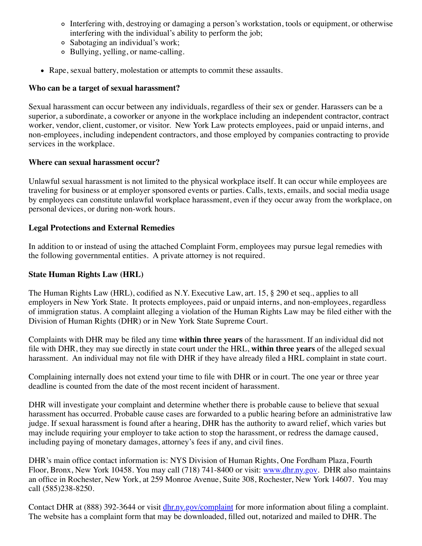- Interfering with, destroying or damaging a person's workstation, tools or equipment, or otherwise interfering with the individual's ability to perform the job;
- Sabotaging an individual's work;
- Bullying, yelling, or name-calling.
- Rape, sexual battery, molestation or attempts to commit these assaults.

#### **Who can be a target of sexual harassment?**

Sexual harassment can occur between any individuals, regardless of their sex or gender. Harassers can be a superior, a subordinate, a coworker or anyone in the workplace including an independent contractor, contract worker, vendor, client, customer, or visitor. New York Law protects employees, paid or unpaid interns, and non-employees, including independent contractors, and those employed by companies contracting to provide services in the workplace.

#### **Where can sexual harassment occur?**

Unlawful sexual harassment is not limited to the physical workplace itself. It can occur while employees are traveling for business or at employer sponsored events or parties. Calls, texts, emails, and social media usage by employees can constitute unlawful workplace harassment, even if they occur away from the workplace, on personal devices, or during non-work hours.

### **Legal Protections and External Remedies**

In addition to or instead of using the attached Complaint Form, employees may pursue legal remedies with the following governmental entities. A private attorney is not required.

#### **State Human Rights Law (HRL)**

The Human Rights Law (HRL), codified as N.Y. Executive Law, art. 15, § 290 et seq., applies to all employers in New York State. It protects employees, paid or unpaid interns, and non-employees, regardless of immigration status. A complaint alleging a violation of the Human Rights Law may be filed either with the Division of Human Rights (DHR) or in New York State Supreme Court.

Complaints with DHR may be filed any time **within three years** of the harassment. If an individual did not file with DHR, they may sue directly in state court under the HRL, **within three years** of the alleged sexual harassment. An individual may not file with DHR if they have already filed a HRL complaint in state court.

Complaining internally does not extend your time to file with DHR or in court. The one year or three year deadline is counted from the date of the most recent incident of harassment.

DHR will investigate your complaint and determine whether there is probable cause to believe that sexual harassment has occurred. Probable cause cases are forwarded to a public hearing before an administrative law judge. If sexual harassment is found after a hearing, DHR has the authority to award relief, which varies but may include requiring your employer to take action to stop the harassment, or redress the damage caused, including paying of monetary damages, attorney's fees if any, and civil fines.

DHR's main office contact information is: NYS Division of Human Rights, One Fordham Plaza, Fourth Floor, Bronx, New York 10458. You may call (718) 741-8400 or visit: [www.dhr.ny.gov](https://dhr.ny.gov/). DHR also maintains an office in Rochester, New York, at 259 Monroe Avenue, Suite 308, Rochester, New York 14607. You may call (585)238-8250.

Contact DHR at (888) 392-3644 or visit [dhr.ny.gov/complaint](http://dhr.ny.gov/complaint) for more information about filing a complaint. The website has a complaint form that may be downloaded, filled out, notarized and mailed to DHR. The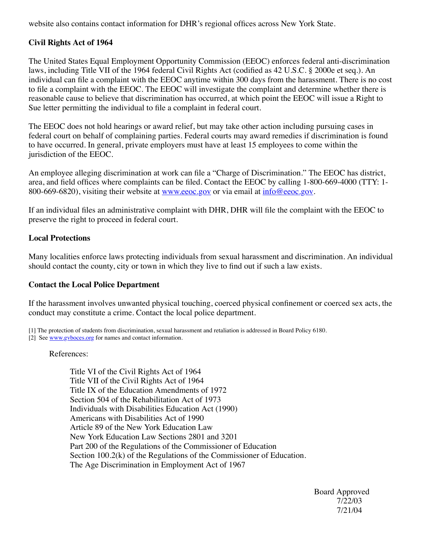website also contains contact information for DHR's regional offices across New York State.

### **Civil Rights Act of 1964**

The United States Equal Employment Opportunity Commission (EEOC) enforces federal anti-discrimination laws, including Title VII of the 1964 federal Civil Rights Act (codified as 42 U.S.C. § 2000e et seq.). An individual can file a complaint with the EEOC anytime within 300 days from the harassment. There is no cost to file a complaint with the EEOC. The EEOC will investigate the complaint and determine whether there is reasonable cause to believe that discrimination has occurred, at which point the EEOC will issue a Right to Sue letter permitting the individual to file a complaint in federal court.

The EEOC does not hold hearings or award relief, but may take other action including pursuing cases in federal court on behalf of complaining parties. Federal courts may award remedies if discrimination is found to have occurred. In general, private employers must have at least 15 employees to come within the jurisdiction of the EEOC.

An employee alleging discrimination at work can file a "Charge of Discrimination." The EEOC has district, area, and field offices where complaints can be filed. Contact the EEOC by calling 1-800-669-4000 (TTY: 1 800-669-6820), visiting their website at [www.eeoc.gov](http://www.eeoc.gov/) or via email at [info@eeoc.gov](mailto:info@eeoc.gov).

If an individual files an administrative complaint with DHR, DHR will file the complaint with the EEOC to preserve the right to proceed in federal court.

#### **Local Protections**

Many localities enforce laws protecting individuals from sexual harassment and discrimination. An individual should contact the county, city or town in which they live to find out if such a law exists.

#### **Contact the Local Police Department**

If the harassment involves unwanted physical touching, coerced physical confinement or coerced sex acts, the conduct may constitute a crime. Contact the local police department.

[1] The protection of students from discrimination, sexual harassment and retaliation is addressed in Board Policy 6180.

[2] See www.gyboces.org for names and contact information.

#### References:

Title VI of the Civil Rights Act of 1964 Title VII of the Civil Rights Act of 1964 Title IX of the Education Amendments of 1972 Section 504 of the Rehabilitation Act of 1973 Individuals with Disabilities Education Act (1990) Americans with Disabilities Act of 1990 Article 89 of the New York Education Law New York Education Law Sections 2801 and 3201 Part 200 of the Regulations of the Commissioner of Education Section 100.2(k) of the Regulations of the Commissioner of Education. The Age Discrimination in Employment Act of 1967

 Board Approved 7/22/03 7/21/04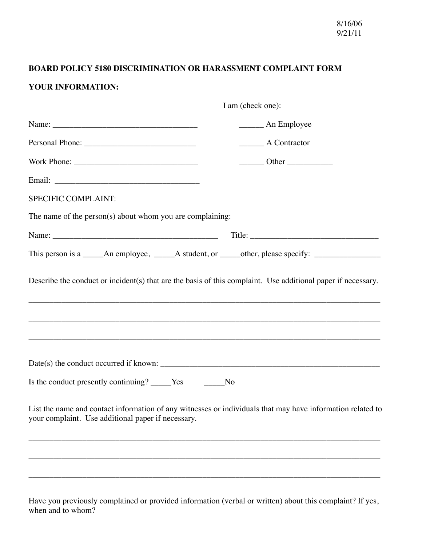## **BOARD POLICY 5180 DISCRIMINATION OR HARASSMENT COMPLAINT FORM**

## **YOUR INFORMATION:**

| I am (check one):                                                                                                                                                                                                              |                                                                                        |
|--------------------------------------------------------------------------------------------------------------------------------------------------------------------------------------------------------------------------------|----------------------------------------------------------------------------------------|
| Name: 2008 - 2008 - 2010 - 2010 - 2010 - 2010 - 2010 - 2010 - 2010 - 2010 - 2010 - 2010 - 2010 - 2010 - 2010 - 2010 - 2010 - 2010 - 2010 - 2010 - 2010 - 2010 - 2010 - 2010 - 2010 - 2010 - 2010 - 2010 - 2010 - 2010 - 2010 - | An Employee                                                                            |
|                                                                                                                                                                                                                                | _________ A Contractor                                                                 |
|                                                                                                                                                                                                                                | $\frac{1}{\sqrt{1-\frac{1}{2}}}\text{Other}\frac{1}{\sqrt{1-\frac{1}{2}}}\text{other}$ |
| Email: No. 1996. The Commission of the Commission of the Commission of the Commission of the Commission of the Commission of the Commission of the Commission of the Commission of the Commission of the Commission of the Com |                                                                                        |
| SPECIFIC COMPLAINT:                                                                                                                                                                                                            |                                                                                        |
| The name of the person(s) about whom you are complaining:                                                                                                                                                                      |                                                                                        |
|                                                                                                                                                                                                                                |                                                                                        |
| This person is a _____An employee, _____A student, or _____other, please specify: __________________                                                                                                                           |                                                                                        |
|                                                                                                                                                                                                                                |                                                                                        |
|                                                                                                                                                                                                                                |                                                                                        |
| Is the conduct presently continuing? _____Yes ______No                                                                                                                                                                         |                                                                                        |
| List the name and contact information of any witnesses or individuals that may have information related to<br>your complaint. Use additional paper if necessary.                                                               |                                                                                        |
|                                                                                                                                                                                                                                |                                                                                        |
|                                                                                                                                                                                                                                |                                                                                        |
|                                                                                                                                                                                                                                |                                                                                        |

Have you previously complained or provided information (verbal or written) about this complaint? If yes, when and to whom?